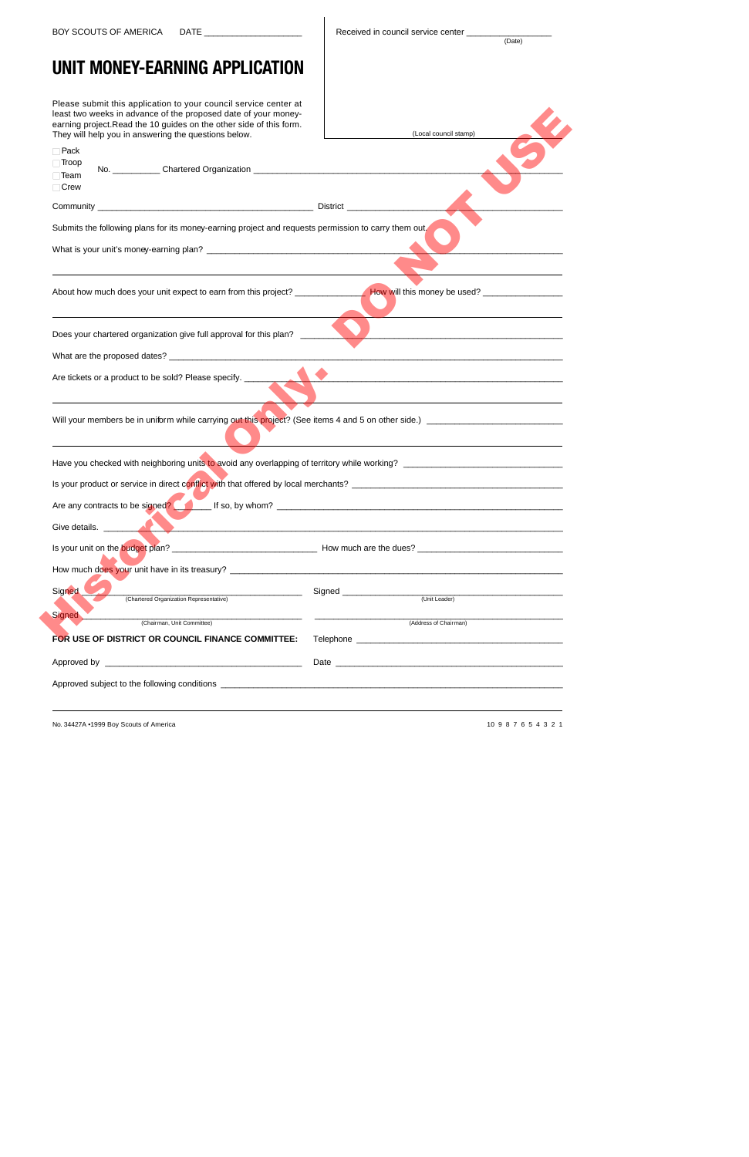$(Date)$ 

## **UNIT MONEY-EARNING APPLICATION**

Please submit this application to your council service center at least two weeks in advance of the proposed date of your money earning project.Read the 10 guides on the other side of this form. They will help you in answering the questions below.

| least two weeks in advance of the proposed date of your money-<br>earning project. Read the 10 guides on the other side of this form.<br>They will help you in answering the questions below. | (Local council stamp)                                                                                                                                                                                                          |
|-----------------------------------------------------------------------------------------------------------------------------------------------------------------------------------------------|--------------------------------------------------------------------------------------------------------------------------------------------------------------------------------------------------------------------------------|
| $\Box$ Pack<br>$\Box$ Troop<br>$\Box$ Team<br>$\Box$ Crew                                                                                                                                     |                                                                                                                                                                                                                                |
|                                                                                                                                                                                               |                                                                                                                                                                                                                                |
| Submits the following plans for its money-earning project and requests permission to carry them out,                                                                                          |                                                                                                                                                                                                                                |
|                                                                                                                                                                                               |                                                                                                                                                                                                                                |
|                                                                                                                                                                                               |                                                                                                                                                                                                                                |
| Does your chartered organization give full approval for this plan?<br><u> 1989 - Jan Barnett, fransk politik (d. 1989)</u>                                                                    |                                                                                                                                                                                                                                |
|                                                                                                                                                                                               |                                                                                                                                                                                                                                |
| Are tickets or a product to be sold? Please specify. ____________________________                                                                                                             | <u> 1980 - Jan Samuel Barbara, margaret eta biztanleria (h. 1980).</u>                                                                                                                                                         |
|                                                                                                                                                                                               |                                                                                                                                                                                                                                |
|                                                                                                                                                                                               |                                                                                                                                                                                                                                |
|                                                                                                                                                                                               |                                                                                                                                                                                                                                |
| Are any contracts to be signed? If so, by whom?                                                                                                                                               |                                                                                                                                                                                                                                |
| Give details.                                                                                                                                                                                 |                                                                                                                                                                                                                                |
|                                                                                                                                                                                               |                                                                                                                                                                                                                                |
|                                                                                                                                                                                               |                                                                                                                                                                                                                                |
| Signed<br>(Chartered Organization Representative)                                                                                                                                             | Signed <b>Exercise Signed</b><br>(Unit Leader)                                                                                                                                                                                 |
| <b>Signed</b>                                                                                                                                                                                 |                                                                                                                                                                                                                                |
| (Chairman, Unit Committee)                                                                                                                                                                    | (Address of Chairman)                                                                                                                                                                                                          |
| FOR USE OF DISTRICT OR COUNCIL FINANCE COMMITTEE:                                                                                                                                             |                                                                                                                                                                                                                                |
|                                                                                                                                                                                               | Date and the contract of the contract of the contract of the contract of the contract of the contract of the contract of the contract of the contract of the contract of the contract of the contract of the contract of the c |
|                                                                                                                                                                                               |                                                                                                                                                                                                                                |